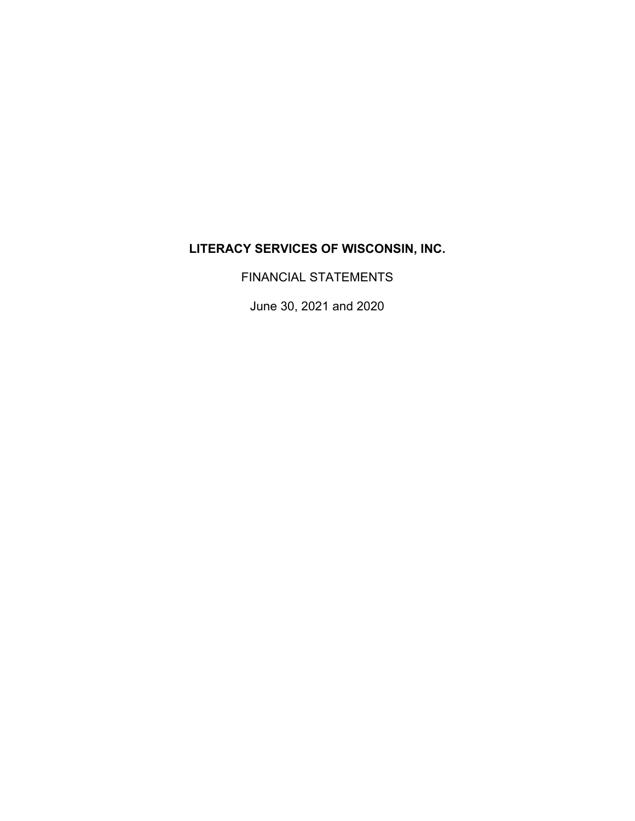# **LITERACY SERVICES OF WISCONSIN, INC.**

FINANCIAL STATEMENTS

June 30, 2021 and 2020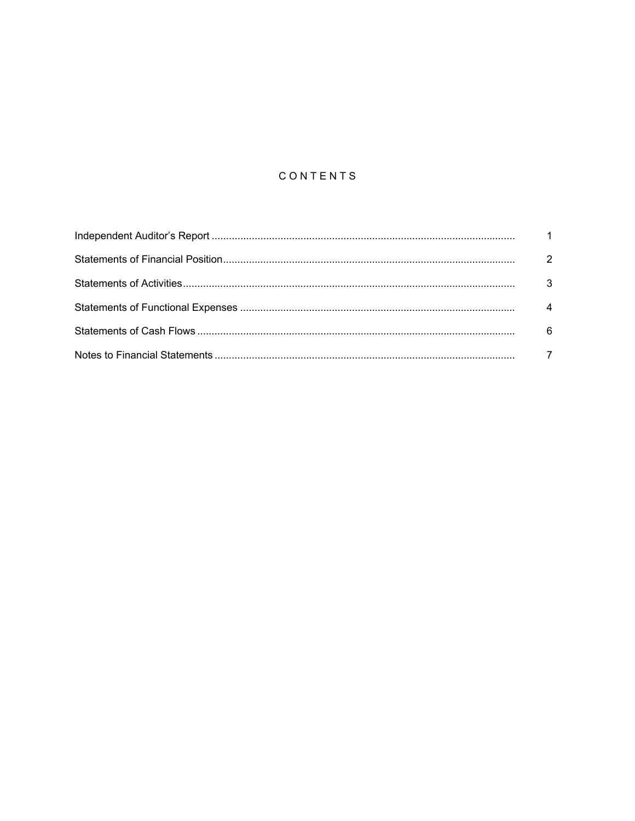## CONTENTS

| $\mathcal{P}$ |
|---------------|
|               |
|               |
| 6             |
|               |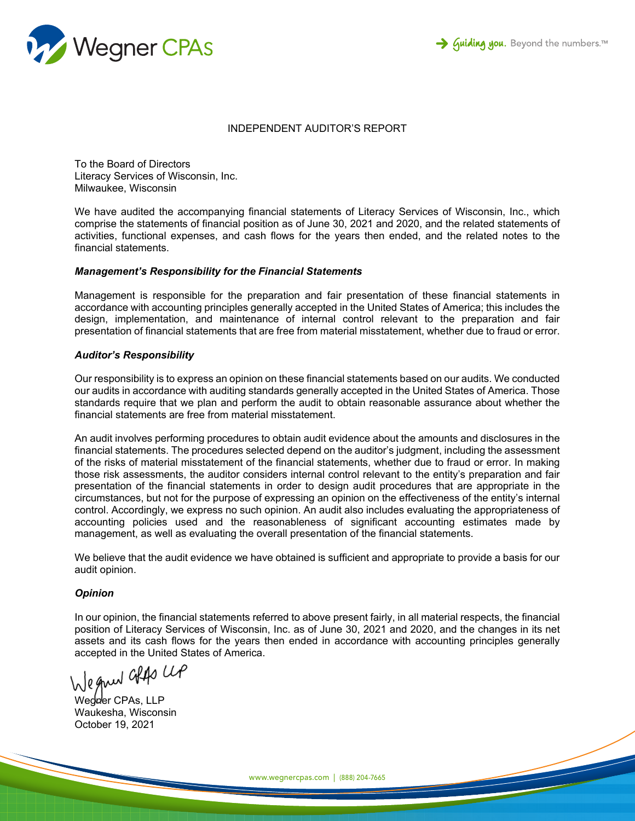



## INDEPENDENT AUDITOR'S REPORT

To the Board of Directors Literacy Services of Wisconsin, Inc. Milwaukee, Wisconsin

We have audited the accompanying financial statements of Literacy Services of Wisconsin, Inc., which comprise the statements of financial position as of June 30, 2021 and 2020, and the related statements of activities, functional expenses, and cash flows for the years then ended, and the related notes to the financial statements.

#### *Management's Responsibility for the Financial Statements*

Management is responsible for the preparation and fair presentation of these financial statements in accordance with accounting principles generally accepted in the United States of America; this includes the design, implementation, and maintenance of internal control relevant to the preparation and fair presentation of financial statements that are free from material misstatement, whether due to fraud or error.

#### *Auditor's Responsibility*

Our responsibility is to express an opinion on these financial statements based on our audits. We conducted our audits in accordance with auditing standards generally accepted in the United States of America. Those standards require that we plan and perform the audit to obtain reasonable assurance about whether the financial statements are free from material misstatement.

An audit involves performing procedures to obtain audit evidence about the amounts and disclosures in the financial statements. The procedures selected depend on the auditor's judgment, including the assessment of the risks of material misstatement of the financial statements, whether due to fraud or error. In making those risk assessments, the auditor considers internal control relevant to the entity's preparation and fair presentation of the financial statements in order to design audit procedures that are appropriate in the circumstances, but not for the purpose of expressing an opinion on the effectiveness of the entity's internal control. Accordingly, we express no such opinion. An audit also includes evaluating the appropriateness of accounting policies used and the reasonableness of significant accounting estimates made by management, as well as evaluating the overall presentation of the financial statements.

We believe that the audit evidence we have obtained is sufficient and appropriate to provide a basis for our audit opinion.

## *Opinion*

In our opinion, the financial statements referred to above present fairly, in all material respects, the financial position of Literacy Services of Wisconsin, Inc. as of June 30, 2021 and 2020, and the changes in its net assets and its cash flows for the years then ended in accordance with accounting principles generally

accepted in the United States of America.<br>
Ne grow GLAO LLP

Wedger CPAs, LLP Waukesha, Wisconsin October 19, 2021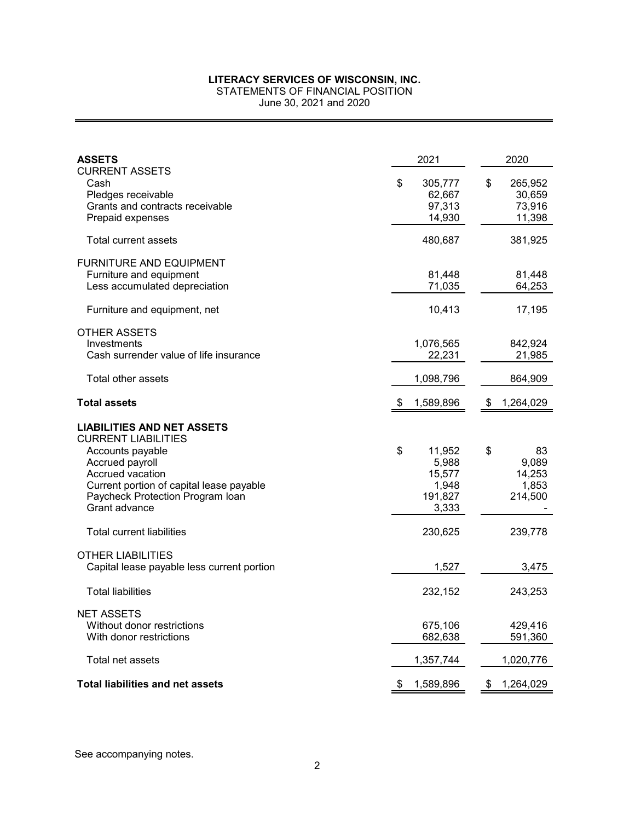## **LITERACY SERVICES OF WISCONSIN, INC.** STATEMENTS OF FINANCIAL POSITION

June 30, 2021 and 2020

| <b>ASSETS</b>                                                                                                                                                                                                               | 2021                                                         | 2020                                            |
|-----------------------------------------------------------------------------------------------------------------------------------------------------------------------------------------------------------------------------|--------------------------------------------------------------|-------------------------------------------------|
| <b>CURRENT ASSETS</b><br>Cash<br>Pledges receivable<br>Grants and contracts receivable<br>Prepaid expenses                                                                                                                  | \$<br>305,777<br>62,667<br>97,313<br>14,930                  | \$<br>265,952<br>30,659<br>73,916<br>11,398     |
| Total current assets                                                                                                                                                                                                        | 480,687                                                      | 381,925                                         |
| FURNITURE AND EQUIPMENT<br>Furniture and equipment<br>Less accumulated depreciation                                                                                                                                         | 81,448<br>71,035                                             | 81,448<br>64,253                                |
| Furniture and equipment, net                                                                                                                                                                                                | 10,413                                                       | 17,195                                          |
| <b>OTHER ASSETS</b><br>Investments<br>Cash surrender value of life insurance<br>Total other assets                                                                                                                          | 1,076,565<br>22,231<br>1,098,796                             | 842,924<br>21,985<br>864,909                    |
| <b>Total assets</b>                                                                                                                                                                                                         | 1,589,896<br>S.                                              | 1,264,029<br>£.                                 |
| <b>LIABILITIES AND NET ASSETS</b><br><b>CURRENT LIABILITIES</b><br>Accounts payable<br>Accrued payroll<br>Accrued vacation<br>Current portion of capital lease payable<br>Paycheck Protection Program Ioan<br>Grant advance | \$<br>11,952<br>5,988<br>15,577<br>1,948<br>191,827<br>3,333 | \$<br>83<br>9,089<br>14,253<br>1,853<br>214,500 |
| <b>Total current liabilities</b>                                                                                                                                                                                            | 230,625                                                      | 239,778                                         |
| <b>OTHER LIABILITIES</b><br>Capital lease payable less current portion                                                                                                                                                      | 1,527                                                        | 3,475                                           |
| <b>Total liabilities</b>                                                                                                                                                                                                    | 232,152                                                      | 243,253                                         |
| <b>NET ASSETS</b><br>Without donor restrictions<br>With donor restrictions                                                                                                                                                  | 675,106<br>682,638                                           | 429,416<br>591,360                              |
| Total net assets                                                                                                                                                                                                            | 1,357,744                                                    | 1,020,776                                       |
| <b>Total liabilities and net assets</b>                                                                                                                                                                                     | \$<br>1,589,896                                              | \$<br>1,264,029                                 |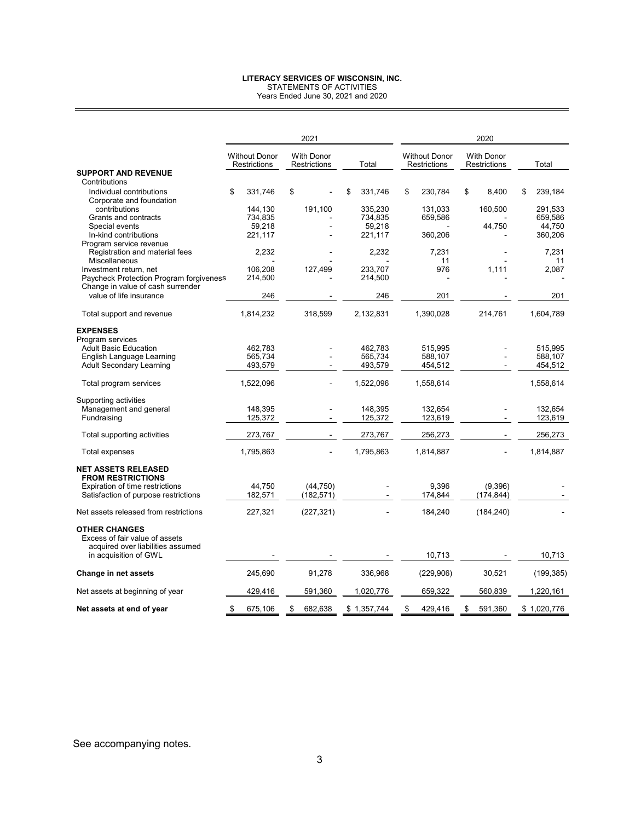#### **LITERACY SERVICES OF WISCONSIN, INC.**

STATEMENTS OF ACTIVITIES

Years Ended June 30, 2021 and 2020

|                                                                                                                      |                                      | 2021                              |               | 2020 |                                      |    |                            |    |             |
|----------------------------------------------------------------------------------------------------------------------|--------------------------------------|-----------------------------------|---------------|------|--------------------------------------|----|----------------------------|----|-------------|
|                                                                                                                      | <b>Without Donor</b><br>Restrictions | <b>With Donor</b><br>Restrictions | Total         |      | <b>Without Donor</b><br>Restrictions |    | With Donor<br>Restrictions |    | Total       |
| <b>SUPPORT AND REVENUE</b>                                                                                           |                                      |                                   |               |      |                                      |    |                            |    |             |
| Contributions                                                                                                        |                                      |                                   |               |      |                                      |    |                            |    |             |
| Individual contributions                                                                                             | \$<br>331,746                        | \$                                | \$<br>331,746 | \$   | 230,784                              | \$ | 8,400                      | \$ | 239,184     |
| Corporate and foundation                                                                                             |                                      |                                   |               |      |                                      |    |                            |    |             |
| contributions                                                                                                        | 144.130                              | 191,100                           | 335,230       |      | 131,033                              |    | 160,500                    |    | 291,533     |
| Grants and contracts                                                                                                 | 734,835                              |                                   | 734,835       |      | 659,586                              |    |                            |    | 659.586     |
| Special events                                                                                                       | 59,218                               |                                   | 59,218        |      |                                      |    | 44,750                     |    | 44,750      |
| In-kind contributions                                                                                                | 221,117                              |                                   | 221,117       |      | 360,206                              |    |                            |    | 360,206     |
| Program service revenue                                                                                              |                                      |                                   |               |      |                                      |    |                            |    |             |
| Registration and material fees                                                                                       | 2,232                                |                                   | 2,232         |      | 7,231                                |    |                            |    | 7,231       |
| Miscellaneous                                                                                                        |                                      |                                   |               |      | 11                                   |    |                            |    | 11          |
| Investment return, net                                                                                               | 106,208                              | 127,499                           | 233.707       |      | 976                                  |    | 1,111                      |    | 2,087       |
| Paycheck Protection Program forgiveness                                                                              | 214,500                              |                                   | 214,500       |      |                                      |    |                            |    |             |
| Change in value of cash surrender                                                                                    |                                      |                                   |               |      |                                      |    |                            |    |             |
| value of life insurance                                                                                              | 246                                  |                                   | 246           |      | 201                                  |    |                            |    | 201         |
|                                                                                                                      |                                      |                                   |               |      |                                      |    |                            |    |             |
| Total support and revenue                                                                                            | 1,814,232                            | 318,599                           | 2,132,831     |      | 1,390,028                            |    | 214,761                    |    | 1,604,789   |
| <b>EXPENSES</b>                                                                                                      |                                      |                                   |               |      |                                      |    |                            |    |             |
| Program services                                                                                                     |                                      |                                   |               |      |                                      |    |                            |    |             |
| <b>Adult Basic Education</b>                                                                                         | 462,783                              |                                   | 462,783       |      | 515,995                              |    |                            |    | 515,995     |
| English Language Learning                                                                                            | 565,734                              |                                   | 565,734       |      | 588,107                              |    |                            |    | 588,107     |
| <b>Adult Secondary Learning</b>                                                                                      | 493,579                              |                                   | 493,579       |      | 454,512                              |    |                            |    | 454,512     |
|                                                                                                                      |                                      |                                   |               |      |                                      |    |                            |    |             |
| Total program services                                                                                               | 1,522,096                            |                                   | 1,522,096     |      | 1,558,614                            |    |                            |    | 1,558,614   |
| Supporting activities                                                                                                |                                      |                                   |               |      |                                      |    |                            |    |             |
| Management and general                                                                                               | 148,395                              |                                   | 148,395       |      | 132,654                              |    |                            |    | 132,654     |
| Fundraising                                                                                                          | 125,372                              |                                   | 125,372       |      | 123,619                              |    |                            |    | 123,619     |
|                                                                                                                      |                                      |                                   |               |      |                                      |    |                            |    |             |
| Total supporting activities                                                                                          | 273,767                              |                                   | 273,767       |      | 256,273                              |    |                            |    | 256,273     |
| Total expenses                                                                                                       | 1,795,863                            |                                   | 1,795,863     |      | 1,814,887                            |    |                            |    | 1,814,887   |
| <b>NET ASSETS RELEASED</b><br><b>FROM RESTRICTIONS</b>                                                               |                                      |                                   |               |      |                                      |    |                            |    |             |
| Expiration of time restrictions                                                                                      | 44,750                               | (44, 750)                         |               |      | 9.396                                |    | (9,396)                    |    |             |
| Satisfaction of purpose restrictions                                                                                 | 182,571                              | (182, 571)                        |               |      | 174,844                              |    | (174, 844)                 |    |             |
|                                                                                                                      |                                      |                                   |               |      |                                      |    |                            |    |             |
| Net assets released from restrictions                                                                                | 227,321                              | (227, 321)                        |               |      | 184,240                              |    | (184, 240)                 |    |             |
| <b>OTHER CHANGES</b><br>Excess of fair value of assets<br>acquired over liabilities assumed<br>in acquisition of GWL |                                      |                                   |               |      | 10,713                               |    |                            |    | 10,713      |
|                                                                                                                      |                                      |                                   |               |      |                                      |    |                            |    |             |
| Change in net assets                                                                                                 | 245,690                              | 91,278                            | 336,968       |      | (229, 906)                           |    | 30,521                     |    | (199, 385)  |
| Net assets at beginning of year                                                                                      | 429,416                              | 591,360                           | 1,020,776     |      | 659,322                              |    | 560,839                    |    | 1,220,161   |
| Net assets at end of year                                                                                            | \$<br>675,106                        | \$<br>682,638                     | \$1,357,744   | \$   | 429.416                              | \$ | 591,360                    |    | \$1,020,776 |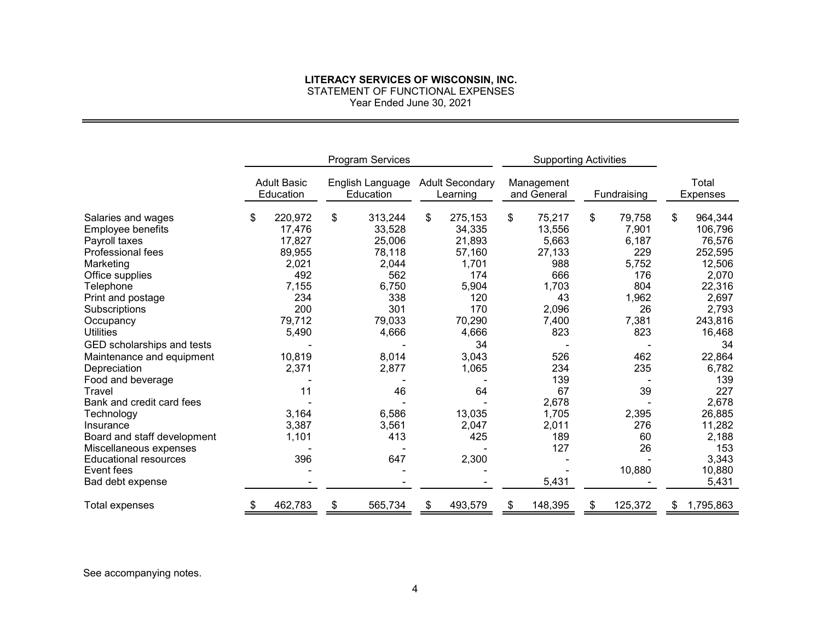#### **LITERACY SERVICES OF WISCONSIN, INC.** STATEMENT OF FUNCTIONAL EXPENSES Year Ended June 30, 2021

|                              | Program Services |                                 |    |                               |    |                                    | <b>Supporting Activities</b> |                           |    |             |    |                          |  |
|------------------------------|------------------|---------------------------------|----|-------------------------------|----|------------------------------------|------------------------------|---------------------------|----|-------------|----|--------------------------|--|
|                              |                  | <b>Adult Basic</b><br>Education |    | English Language<br>Education |    | <b>Adult Secondary</b><br>Learning |                              | Management<br>and General |    | Fundraising |    | Total<br><b>Expenses</b> |  |
| Salaries and wages           | \$.              | 220,972                         | \$ | 313,244                       | \$ | 275,153                            | \$                           | 75,217                    | \$ | 79,758      | S  | 964,344                  |  |
| Employee benefits            |                  | 17,476                          |    | 33,528                        |    | 34,335                             |                              | 13,556                    |    | 7,901       |    | 106,796                  |  |
| Payroll taxes                |                  | 17,827                          |    | 25,006                        |    | 21,893                             |                              | 5,663                     |    | 6,187       |    | 76,576                   |  |
| Professional fees            |                  | 89,955                          |    | 78,118                        |    | 57,160                             |                              | 27,133                    |    | 229         |    | 252,595                  |  |
| Marketing                    |                  | 2,021                           |    | 2,044                         |    | 1,701                              |                              | 988                       |    | 5,752       |    | 12,506                   |  |
| Office supplies              |                  | 492                             |    | 562                           |    | 174                                |                              | 666                       |    | 176         |    | 2,070                    |  |
| Telephone                    |                  | 7,155                           |    | 6,750                         |    | 5,904                              |                              | 1,703                     |    | 804         |    | 22,316                   |  |
| Print and postage            |                  | 234                             |    | 338                           |    | 120                                |                              | 43                        |    | 1,962       |    | 2,697                    |  |
| Subscriptions                |                  | 200                             |    | 301                           |    | 170                                |                              | 2,096                     |    | 26          |    | 2,793                    |  |
| Occupancy                    |                  | 79,712                          |    | 79,033                        |    | 70,290                             |                              | 7,400                     |    | 7,381       |    | 243,816                  |  |
| <b>Utilities</b>             |                  | 5,490                           |    | 4,666                         |    | 4,666                              |                              | 823                       |    | 823         |    | 16,468                   |  |
| GED scholarships and tests   |                  |                                 |    |                               |    | 34                                 |                              |                           |    |             |    | 34                       |  |
| Maintenance and equipment    |                  | 10,819                          |    | 8,014                         |    | 3,043                              |                              | 526                       |    | 462         |    | 22,864                   |  |
| Depreciation                 |                  | 2,371                           |    | 2,877                         |    | 1,065                              |                              | 234                       |    | 235         |    | 6,782                    |  |
| Food and beverage            |                  |                                 |    |                               |    |                                    |                              | 139                       |    |             |    | 139                      |  |
| Travel                       |                  | 11                              |    | 46                            |    | 64                                 |                              | 67                        |    | 39          |    | 227                      |  |
| Bank and credit card fees    |                  |                                 |    |                               |    |                                    |                              | 2,678                     |    |             |    | 2,678                    |  |
| Technology                   |                  | 3,164                           |    | 6,586                         |    | 13,035                             |                              | 1,705                     |    | 2,395       |    | 26,885                   |  |
| Insurance                    |                  | 3,387                           |    | 3,561                         |    | 2,047                              |                              | 2,011                     |    | 276         |    | 11,282                   |  |
| Board and staff development  |                  | 1,101                           |    | 413                           |    | 425                                |                              | 189                       |    | 60          |    | 2,188                    |  |
| Miscellaneous expenses       |                  |                                 |    |                               |    |                                    |                              | 127                       |    | 26          |    | 153                      |  |
| <b>Educational resources</b> |                  | 396                             |    | 647                           |    | 2,300                              |                              |                           |    |             |    | 3,343                    |  |
| Event fees                   |                  |                                 |    |                               |    |                                    |                              |                           |    | 10,880      |    | 10,880                   |  |
| Bad debt expense             |                  |                                 |    |                               |    |                                    |                              | 5,431                     |    |             |    | 5,431                    |  |
| Total expenses               |                  | 462,783                         | \$ | 565,734                       | \$ | 493,579                            | \$                           | 148,395                   |    | 125,372     | \$ | 1,795,863                |  |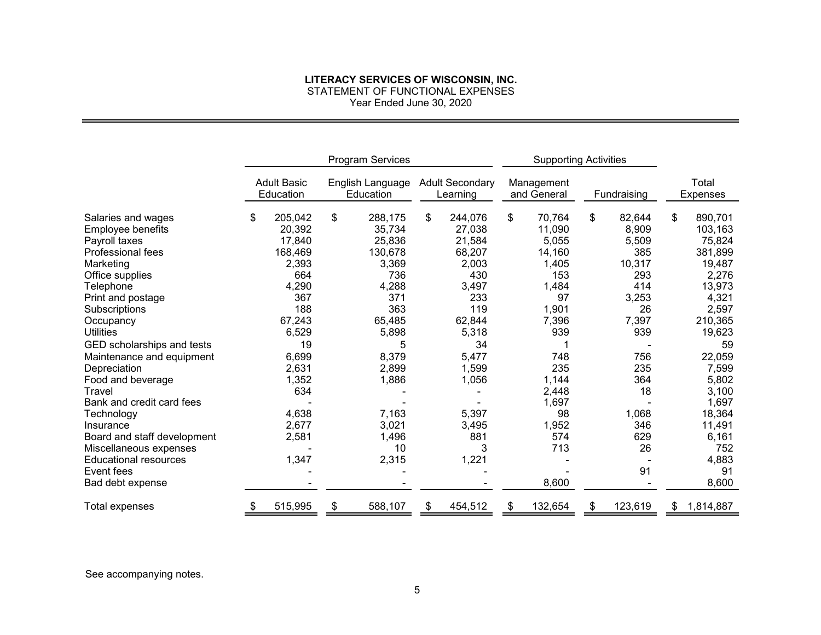#### **LITERACY SERVICES OF WISCONSIN, INC.** STATEMENT OF FUNCTIONAL EXPENSES Year Ended June 30, 2020

|                              | Program Services |                                 |    |                               |    |                                    |    | <b>Supporting Activities</b> |    |             |    |                   |
|------------------------------|------------------|---------------------------------|----|-------------------------------|----|------------------------------------|----|------------------------------|----|-------------|----|-------------------|
|                              |                  | <b>Adult Basic</b><br>Education |    | English Language<br>Education |    | <b>Adult Secondary</b><br>Learning |    | Management<br>and General    |    | Fundraising |    | Total<br>Expenses |
| Salaries and wages           | S                | 205,042                         | \$ | 288,175                       | \$ | 244,076                            | \$ | 70,764                       | \$ | 82,644      | \$ | 890,701           |
| <b>Employee benefits</b>     |                  | 20,392                          |    | 35,734                        |    | 27,038                             |    | 11,090                       |    | 8,909       |    | 103,163           |
| Payroll taxes                |                  | 17,840                          |    | 25,836                        |    | 21,584                             |    | 5,055                        |    | 5,509       |    | 75,824            |
| Professional fees            |                  | 168,469                         |    | 130,678                       |    | 68,207                             |    | 14,160                       |    | 385         |    | 381,899           |
| Marketing                    |                  | 2,393                           |    | 3,369                         |    | 2,003                              |    | 1,405                        |    | 10,317      |    | 19,487            |
| Office supplies              |                  | 664                             |    | 736                           |    | 430                                |    | 153                          |    | 293         |    | 2,276             |
| Telephone                    |                  | 4,290                           |    | 4,288                         |    | 3,497                              |    | 1,484                        |    | 414         |    | 13,973            |
| Print and postage            |                  | 367                             |    | 371                           |    | 233                                |    | 97                           |    | 3,253       |    | 4,321             |
| Subscriptions                |                  | 188                             |    | 363                           |    | 119                                |    | 1,901                        |    | 26          |    | 2,597             |
| Occupancy                    |                  | 67,243                          |    | 65,485                        |    | 62,844                             |    | 7,396                        |    | 7,397       |    | 210,365           |
| <b>Utilities</b>             |                  | 6,529                           |    | 5,898                         |    | 5,318                              |    | 939                          |    | 939         |    | 19,623            |
| GED scholarships and tests   |                  | 19                              |    | 5                             |    | 34                                 |    |                              |    |             |    | 59                |
| Maintenance and equipment    |                  | 6,699                           |    | 8,379                         |    | 5,477                              |    | 748                          |    | 756         |    | 22,059            |
| Depreciation                 |                  | 2,631                           |    | 2,899                         |    | 1,599                              |    | 235                          |    | 235         |    | 7,599             |
| Food and beverage            |                  | 1,352                           |    | 1,886                         |    | 1,056                              |    | 1,144                        |    | 364         |    | 5,802             |
| Travel                       |                  | 634                             |    |                               |    |                                    |    | 2,448                        |    | 18          |    | 3,100             |
| Bank and credit card fees    |                  |                                 |    |                               |    |                                    |    | 1,697                        |    |             |    | 1,697             |
| Technology                   |                  | 4,638                           |    | 7,163                         |    | 5,397                              |    | 98                           |    | 1,068       |    | 18,364            |
| Insurance                    |                  | 2,677                           |    | 3,021                         |    | 3,495                              |    | 1,952                        |    | 346         |    | 11,491            |
| Board and staff development  |                  | 2,581                           |    | 1,496                         |    | 881                                |    | 574                          |    | 629         |    | 6,161             |
| Miscellaneous expenses       |                  |                                 |    | 10                            |    | 3                                  |    | 713                          |    | 26          |    | 752               |
| <b>Educational resources</b> |                  | 1,347                           |    | 2,315                         |    | 1,221                              |    |                              |    |             |    | 4,883             |
| Event fees                   |                  |                                 |    |                               |    |                                    |    |                              |    | 91          |    | 91                |
| Bad debt expense             |                  |                                 |    |                               |    |                                    |    | 8,600                        |    |             |    | 8,600             |
| Total expenses               | S                | 515,995                         | \$ | 588,107                       | \$ | 454,512                            | \$ | 132,654                      | S  | 123,619     | \$ | 1,814,887         |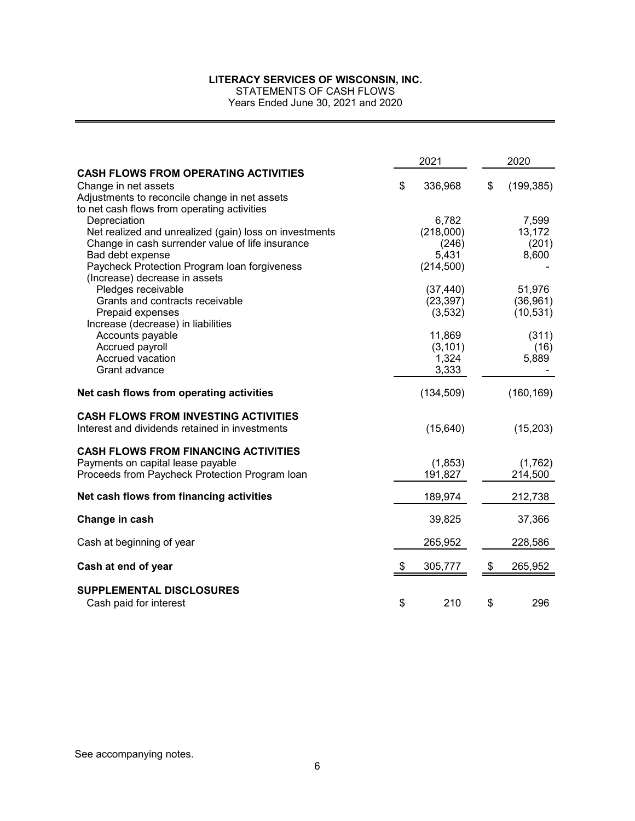## **LITERACY SERVICES OF WISCONSIN, INC.**

STATEMENTS OF CASH FLOWS

Years Ended June 30, 2021 and 2020

|                                                                                                                                                                                                                                                                                | 2021                                               | 2020                              |
|--------------------------------------------------------------------------------------------------------------------------------------------------------------------------------------------------------------------------------------------------------------------------------|----------------------------------------------------|-----------------------------------|
| <b>CASH FLOWS FROM OPERATING ACTIVITIES</b><br>Change in net assets<br>Adjustments to reconcile change in net assets                                                                                                                                                           | \$<br>336,968                                      | \$<br>(199, 385)                  |
| to net cash flows from operating activities<br>Depreciation<br>Net realized and unrealized (gain) loss on investments<br>Change in cash surrender value of life insurance<br>Bad debt expense<br>Paycheck Protection Program loan forgiveness<br>(Increase) decrease in assets | 6,782<br>(218,000)<br>(246)<br>5,431<br>(214, 500) | 7,599<br>13,172<br>(201)<br>8,600 |
| Pledges receivable<br>Grants and contracts receivable<br>Prepaid expenses<br>Increase (decrease) in liabilities                                                                                                                                                                | (37, 440)<br>(23, 397)<br>(3,532)                  | 51,976<br>(36, 961)<br>(10, 531)  |
| Accounts payable<br>Accrued payroll<br>Accrued vacation<br>Grant advance                                                                                                                                                                                                       | 11,869<br>(3, 101)<br>1,324<br>3,333               | (311)<br>(16)<br>5,889            |
| Net cash flows from operating activities                                                                                                                                                                                                                                       | (134, 509)                                         | (160, 169)                        |
| <b>CASH FLOWS FROM INVESTING ACTIVITIES</b><br>Interest and dividends retained in investments                                                                                                                                                                                  | (15,640)                                           | (15,203)                          |
| <b>CASH FLOWS FROM FINANCING ACTIVITIES</b><br>Payments on capital lease payable<br>Proceeds from Paycheck Protection Program Ioan                                                                                                                                             | (1, 853)<br>191,827                                | (1,762)<br>214,500                |
| Net cash flows from financing activities                                                                                                                                                                                                                                       | 189,974                                            | 212,738                           |
| Change in cash                                                                                                                                                                                                                                                                 | 39,825                                             | 37,366                            |
| Cash at beginning of year                                                                                                                                                                                                                                                      | 265,952                                            | 228,586                           |
| Cash at end of year                                                                                                                                                                                                                                                            | \$<br>305,777                                      | \$<br>265,952                     |
| <b>SUPPLEMENTAL DISCLOSURES</b><br>Cash paid for interest                                                                                                                                                                                                                      | \$<br>210                                          | \$<br>296                         |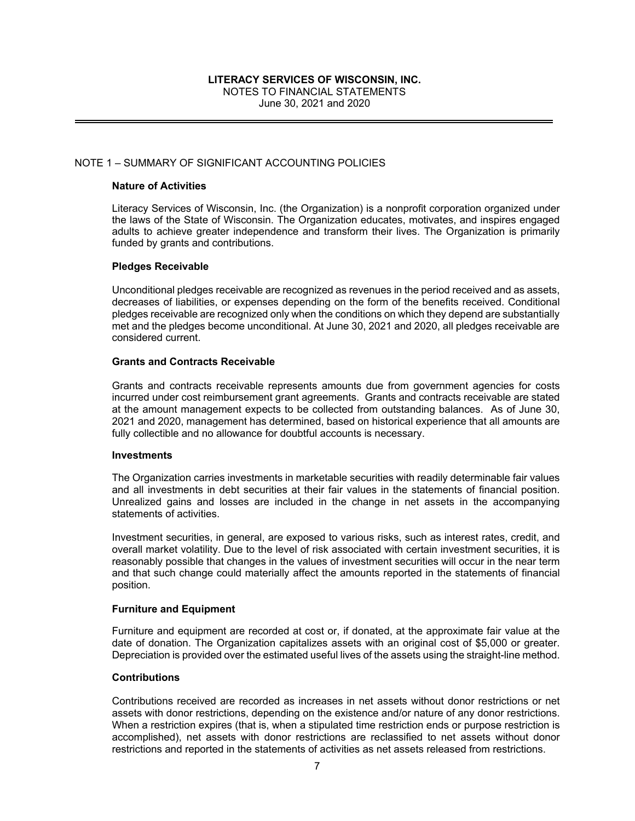## NOTE 1 – SUMMARY OF SIGNIFICANT ACCOUNTING POLICIES

## **Nature of Activities**

Literacy Services of Wisconsin, Inc. (the Organization) is a nonprofit corporation organized under the laws of the State of Wisconsin. The Organization educates, motivates, and inspires engaged adults to achieve greater independence and transform their lives. The Organization is primarily funded by grants and contributions.

## **Pledges Receivable**

Unconditional pledges receivable are recognized as revenues in the period received and as assets, decreases of liabilities, or expenses depending on the form of the benefits received. Conditional pledges receivable are recognized only when the conditions on which they depend are substantially met and the pledges become unconditional. At June 30, 2021 and 2020, all pledges receivable are considered current.

## **Grants and Contracts Receivable**

Grants and contracts receivable represents amounts due from government agencies for costs incurred under cost reimbursement grant agreements. Grants and contracts receivable are stated at the amount management expects to be collected from outstanding balances. As of June 30, 2021 and 2020, management has determined, based on historical experience that all amounts are fully collectible and no allowance for doubtful accounts is necessary.

## **Investments**

The Organization carries investments in marketable securities with readily determinable fair values and all investments in debt securities at their fair values in the statements of financial position. Unrealized gains and losses are included in the change in net assets in the accompanying statements of activities.

Investment securities, in general, are exposed to various risks, such as interest rates, credit, and overall market volatility. Due to the level of risk associated with certain investment securities, it is reasonably possible that changes in the values of investment securities will occur in the near term and that such change could materially affect the amounts reported in the statements of financial position.

## **Furniture and Equipment**

Furniture and equipment are recorded at cost or, if donated, at the approximate fair value at the date of donation. The Organization capitalizes assets with an original cost of \$5,000 or greater. Depreciation is provided over the estimated useful lives of the assets using the straight-line method.

## **Contributions**

Contributions received are recorded as increases in net assets without donor restrictions or net assets with donor restrictions, depending on the existence and/or nature of any donor restrictions. When a restriction expires (that is, when a stipulated time restriction ends or purpose restriction is accomplished), net assets with donor restrictions are reclassified to net assets without donor restrictions and reported in the statements of activities as net assets released from restrictions.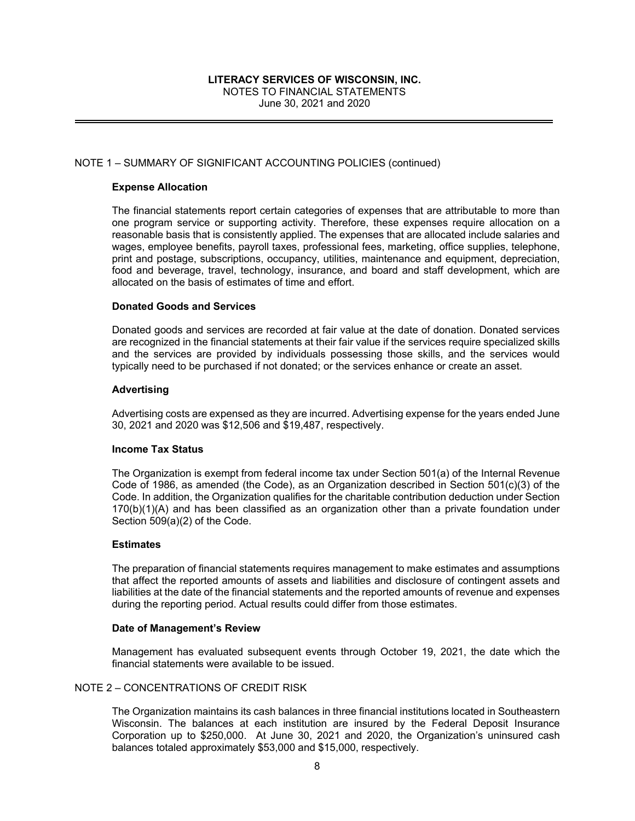### **LITERACY SERVICES OF WISCONSIN, INC.** NOTES TO FINANCIAL STATEMENTS

June 30, 2021 and 2020

## NOTE 1 – SUMMARY OF SIGNIFICANT ACCOUNTING POLICIES (continued)

## **Expense Allocation**

The financial statements report certain categories of expenses that are attributable to more than one program service or supporting activity. Therefore, these expenses require allocation on a reasonable basis that is consistently applied. The expenses that are allocated include salaries and wages, employee benefits, payroll taxes, professional fees, marketing, office supplies, telephone, print and postage, subscriptions, occupancy, utilities, maintenance and equipment, depreciation, food and beverage, travel, technology, insurance, and board and staff development, which are allocated on the basis of estimates of time and effort.

#### **Donated Goods and Services**

Donated goods and services are recorded at fair value at the date of donation. Donated services are recognized in the financial statements at their fair value if the services require specialized skills and the services are provided by individuals possessing those skills, and the services would typically need to be purchased if not donated; or the services enhance or create an asset.

#### **Advertising**

Advertising costs are expensed as they are incurred. Advertising expense for the years ended June 30, 2021 and 2020 was \$12,506 and \$19,487, respectively.

## **Income Tax Status**

The Organization is exempt from federal income tax under Section 501(a) of the Internal Revenue Code of 1986, as amended (the Code), as an Organization described in Section 501(c)(3) of the Code. In addition, the Organization qualifies for the charitable contribution deduction under Section 170(b)(1)(A) and has been classified as an organization other than a private foundation under Section 509(a)(2) of the Code.

#### **Estimates**

The preparation of financial statements requires management to make estimates and assumptions that affect the reported amounts of assets and liabilities and disclosure of contingent assets and liabilities at the date of the financial statements and the reported amounts of revenue and expenses during the reporting period. Actual results could differ from those estimates.

#### **Date of Management's Review**

Management has evaluated subsequent events through October 19, 2021, the date which the financial statements were available to be issued.

## NOTE 2 – CONCENTRATIONS OF CREDIT RISK

The Organization maintains its cash balances in three financial institutions located in Southeastern Wisconsin. The balances at each institution are insured by the Federal Deposit Insurance Corporation up to \$250,000. At June 30, 2021 and 2020, the Organization's uninsured cash balances totaled approximately \$53,000 and \$15,000, respectively.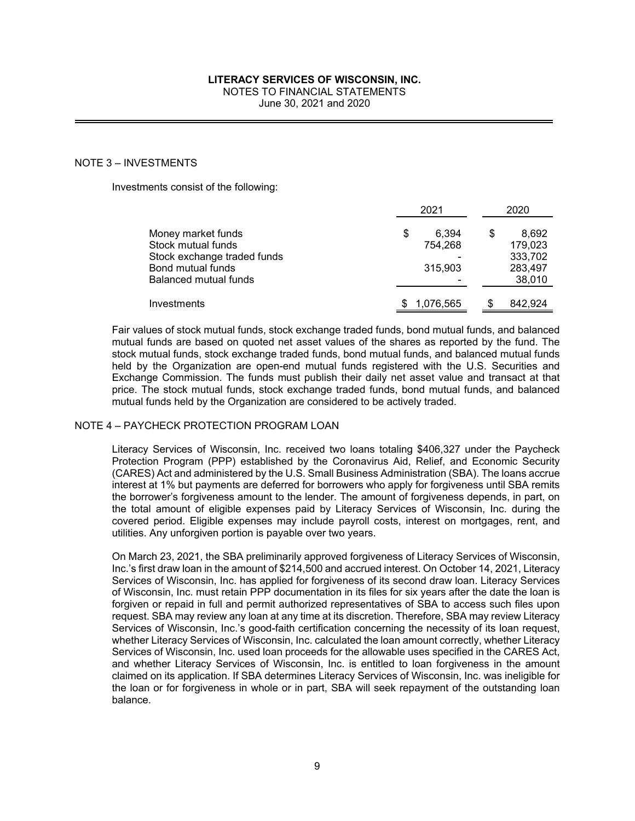#### **LITERACY SERVICES OF WISCONSIN, INC.** NOTES TO FINANCIAL STATEMENTS

June 30, 2021 and 2020

### NOTE 3 – INVESTMENTS

Investments consist of the following:

|                                                                                                                       | 2021                              |   | 2020                                             |
|-----------------------------------------------------------------------------------------------------------------------|-----------------------------------|---|--------------------------------------------------|
| Money market funds<br>Stock mutual funds<br>Stock exchange traded funds<br>Bond mutual funds<br>Balanced mutual funds | \$<br>6.394<br>754,268<br>315,903 | S | 8.692<br>179,023<br>333,702<br>283,497<br>38,010 |
| Investments                                                                                                           | 1,076,565                         |   | 842.924                                          |

Fair values of stock mutual funds, stock exchange traded funds, bond mutual funds, and balanced mutual funds are based on quoted net asset values of the shares as reported by the fund. The stock mutual funds, stock exchange traded funds, bond mutual funds, and balanced mutual funds held by the Organization are open-end mutual funds registered with the U.S. Securities and Exchange Commission. The funds must publish their daily net asset value and transact at that price. The stock mutual funds, stock exchange traded funds, bond mutual funds, and balanced mutual funds held by the Organization are considered to be actively traded.

## NOTE 4 – PAYCHECK PROTECTION PROGRAM LOAN

Literacy Services of Wisconsin, Inc. received two loans totaling \$406,327 under the Paycheck Protection Program (PPP) established by the Coronavirus Aid, Relief, and Economic Security (CARES) Act and administered by the U.S. Small Business Administration (SBA). The loans accrue interest at 1% but payments are deferred for borrowers who apply for forgiveness until SBA remits the borrower's forgiveness amount to the lender. The amount of forgiveness depends, in part, on the total amount of eligible expenses paid by Literacy Services of Wisconsin, Inc. during the covered period. Eligible expenses may include payroll costs, interest on mortgages, rent, and utilities. Any unforgiven portion is payable over two years.

On March 23, 2021, the SBA preliminarily approved forgiveness of Literacy Services of Wisconsin, Inc.'s first draw loan in the amount of \$214,500 and accrued interest. On October 14, 2021, Literacy Services of Wisconsin, Inc. has applied for forgiveness of its second draw loan. Literacy Services of Wisconsin, Inc. must retain PPP documentation in its files for six years after the date the loan is forgiven or repaid in full and permit authorized representatives of SBA to access such files upon request. SBA may review any loan at any time at its discretion. Therefore, SBA may review Literacy Services of Wisconsin, Inc.'s good-faith certification concerning the necessity of its loan request, whether Literacy Services of Wisconsin, Inc. calculated the loan amount correctly, whether Literacy Services of Wisconsin, Inc. used loan proceeds for the allowable uses specified in the CARES Act, and whether Literacy Services of Wisconsin, Inc. is entitled to loan forgiveness in the amount claimed on its application. If SBA determines Literacy Services of Wisconsin, Inc. was ineligible for the loan or for forgiveness in whole or in part, SBA will seek repayment of the outstanding loan balance.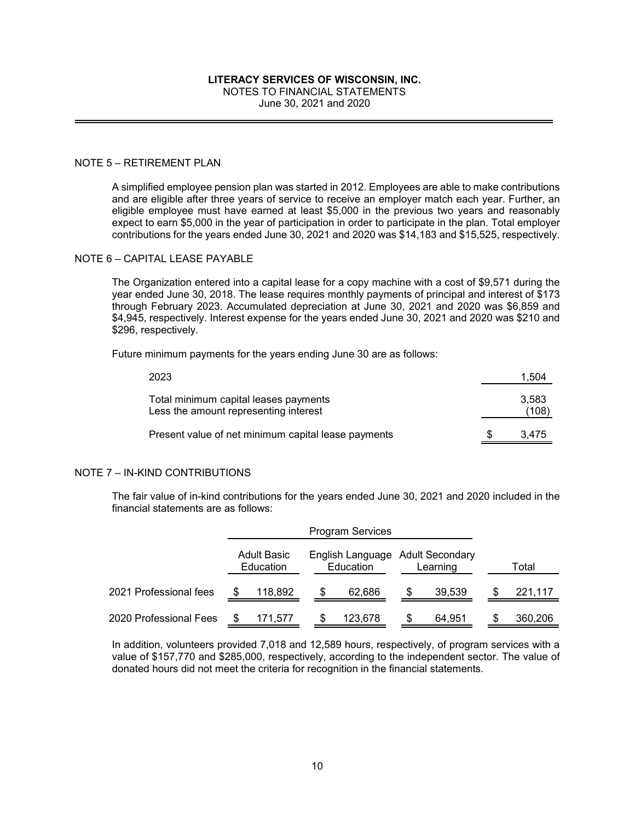### NOTE 5 – RETIREMENT PLAN

A simplified employee pension plan was started in 2012. Employees are able to make contributions and are eligible after three years of service to receive an employer match each year. Further, an eligible employee must have earned at least \$5,000 in the previous two years and reasonably expect to earn \$5,000 in the year of participation in order to participate in the plan. Total employer contributions for the years ended June 30, 2021 and 2020 was \$14,183 and \$15,525, respectively.

## NOTE 6 – CAPITAL LEASE PAYABLE

The Organization entered into a capital lease for a copy machine with a cost of \$9,571 during the year ended June 30, 2018. The lease requires monthly payments of principal and interest of \$173 through February 2023. Accumulated depreciation at June 30, 2021 and 2020 was \$6,859 and \$4,945, respectively. Interest expense for the years ended June 30, 2021 and 2020 was \$210 and \$296, respectively.

Future minimum payments for the years ending June 30 are as follows:

| 2023                                                                           | 1.504          |
|--------------------------------------------------------------------------------|----------------|
| Total minimum capital leases payments<br>Less the amount representing interest | 3,583<br>(108) |
| Present value of net minimum capital lease payments                            | 3.475          |

## NOTE 7 – IN-KIND CONTRIBUTIONS

The fair value of in-kind contributions for the years ended June 30, 2021 and 2020 included in the financial statements are as follows:

|                        | <b>Program Services</b>         |         |           |         |   |                                              |  |         |  |  |       |
|------------------------|---------------------------------|---------|-----------|---------|---|----------------------------------------------|--|---------|--|--|-------|
|                        | <b>Adult Basic</b><br>Education |         | Education |         |   | English Language Adult Secondary<br>Learning |  |         |  |  | Total |
| 2021 Professional fees |                                 | 118,892 | S         | 62,686  | S | 39,539                                       |  | 221,117 |  |  |       |
| 2020 Professional Fees |                                 | 171.577 |           | 123,678 | S | 64,951                                       |  | 360,206 |  |  |       |

 In addition, volunteers provided 7,018 and 12,589 hours, respectively, of program services with a value of \$157,770 and \$285,000, respectively, according to the independent sector. The value of donated hours did not meet the criteria for recognition in the financial statements.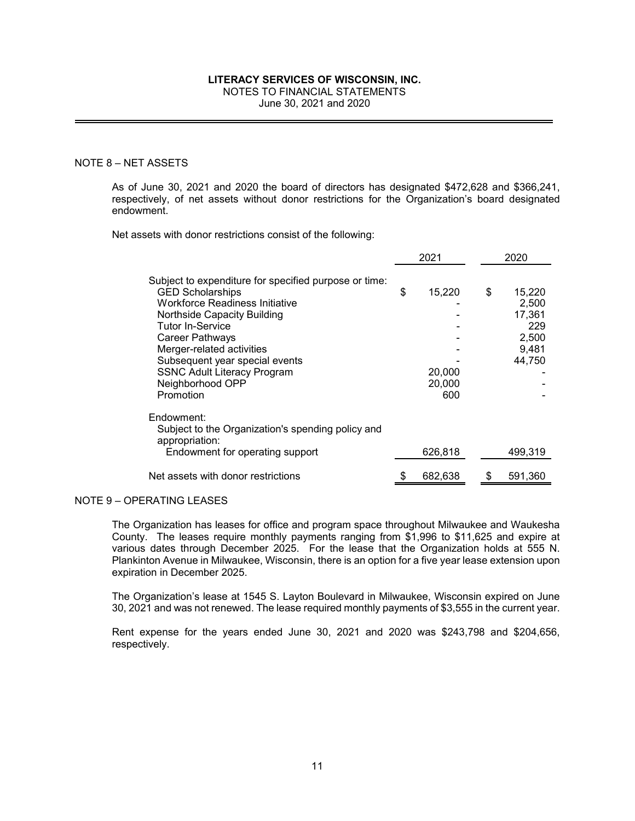## NOTE 8 – NET ASSETS

As of June 30, 2021 and 2020 the board of directors has designated \$472,628 and \$366,241, respectively, of net assets without donor restrictions for the Organization's board designated endowment.

Net assets with donor restrictions consist of the following:

|                                                                                                                                                                                                                                                                                                                                              | 2021                                    | 2020                                                               |
|----------------------------------------------------------------------------------------------------------------------------------------------------------------------------------------------------------------------------------------------------------------------------------------------------------------------------------------------|-----------------------------------------|--------------------------------------------------------------------|
| Subject to expenditure for specified purpose or time:<br><b>GED Scholarships</b><br><b>Workforce Readiness Initiative</b><br>Northside Capacity Building<br><b>Tutor In-Service</b><br>Career Pathways<br>Merger-related activities<br>Subsequent year special events<br><b>SSNC Adult Literacy Program</b><br>Neighborhood OPP<br>Promotion | \$<br>15,220<br>20,000<br>20,000<br>600 | \$<br>15,220<br>2,500<br>17,361<br>229<br>2,500<br>9,481<br>44,750 |
| Endowment:<br>Subject to the Organization's spending policy and<br>appropriation:<br>Endowment for operating support                                                                                                                                                                                                                         | 626,818                                 | 499,319                                                            |
| Net assets with donor restrictions                                                                                                                                                                                                                                                                                                           | \$<br>682,638                           | \$<br>591,360                                                      |

## NOTE 9 – OPERATING LEASES

The Organization has leases for office and program space throughout Milwaukee and Waukesha County. The leases require monthly payments ranging from \$1,996 to \$11,625 and expire at various dates through December 2025. For the lease that the Organization holds at 555 N. Plankinton Avenue in Milwaukee, Wisconsin, there is an option for a five year lease extension upon expiration in December 2025.

The Organization's lease at 1545 S. Layton Boulevard in Milwaukee, Wisconsin expired on June 30, 2021 and was not renewed. The lease required monthly payments of \$3,555 in the current year.

Rent expense for the years ended June 30, 2021 and 2020 was \$243,798 and \$204,656, respectively.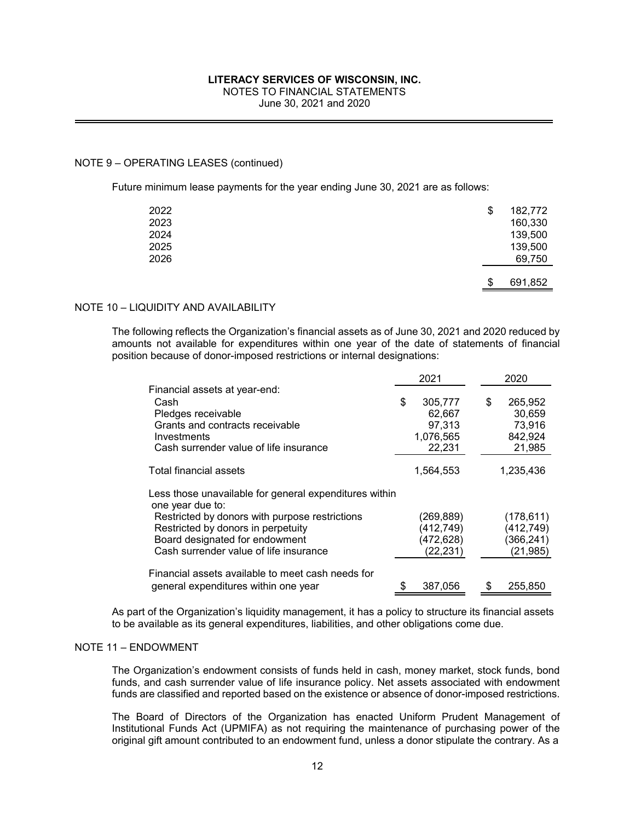## **LITERACY SERVICES OF WISCONSIN, INC.** NOTES TO FINANCIAL STATEMENTS

June 30, 2021 and 2020

## NOTE 9 – OPERATING LEASES (continued)

Future minimum lease payments for the year ending June 30, 2021 are as follows:

| 2022<br>2023<br>2024<br>2025<br>2026 | \$<br>182,772<br>160,330<br>139,500<br>139,500<br>69,750 |
|--------------------------------------|----------------------------------------------------------|
|                                      | \$<br>691,852                                            |

## NOTE 10 – LIQUIDITY AND AVAILABILITY

The following reflects the Organization's financial assets as of June 30, 2021 and 2020 reduced by amounts not available for expenditures within one year of the date of statements of financial position because of donor-imposed restrictions or internal designations:

|                                                                            | 2021          | 2020          |
|----------------------------------------------------------------------------|---------------|---------------|
| Financial assets at year-end:                                              |               |               |
| Cash                                                                       | \$<br>305,777 | \$<br>265,952 |
| Pledges receivable                                                         | 62,667        | 30,659        |
| Grants and contracts receivable                                            | 97,313        | 73,916        |
| Investments                                                                | 1,076,565     | 842,924       |
| Cash surrender value of life insurance                                     | 22,231        | 21,985        |
|                                                                            |               |               |
| Total financial assets                                                     | 1,564,553     | 1,235,436     |
| Less those unavailable for general expenditures within<br>one year due to: |               |               |
| Restricted by donors with purpose restrictions                             | (269, 889)    | (178, 611)    |
| Restricted by donors in perpetuity                                         | (412, 749)    | (412,749)     |
| Board designated for endowment                                             | (472, 628)    | (366, 241)    |
| Cash surrender value of life insurance                                     | (22, 231)     | (21, 985)     |
| Financial assets available to meet cash needs for                          |               |               |
| general expenditures within one year                                       | \$<br>387.056 | 255,850       |

As part of the Organization's liquidity management, it has a policy to structure its financial assets to be available as its general expenditures, liabilities, and other obligations come due.

## NOTE 11 – ENDOWMENT

The Organization's endowment consists of funds held in cash, money market, stock funds, bond funds, and cash surrender value of life insurance policy. Net assets associated with endowment funds are classified and reported based on the existence or absence of donor-imposed restrictions.

The Board of Directors of the Organization has enacted Uniform Prudent Management of Institutional Funds Act (UPMIFA) as not requiring the maintenance of purchasing power of the original gift amount contributed to an endowment fund, unless a donor stipulate the contrary. As a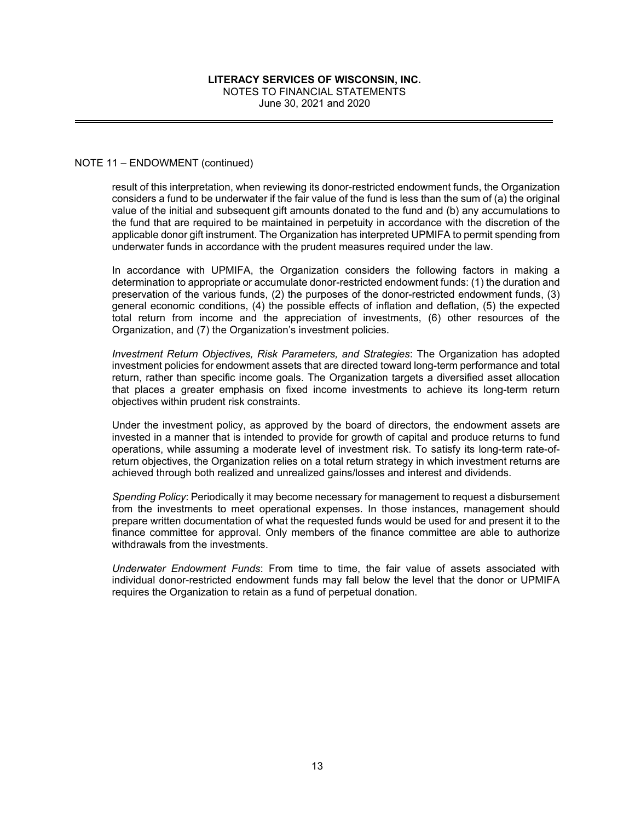### NOTE 11 – ENDOWMENT (continued)

result of this interpretation, when reviewing its donor-restricted endowment funds, the Organization considers a fund to be underwater if the fair value of the fund is less than the sum of (a) the original value of the initial and subsequent gift amounts donated to the fund and (b) any accumulations to the fund that are required to be maintained in perpetuity in accordance with the discretion of the applicable donor gift instrument. The Organization has interpreted UPMIFA to permit spending from underwater funds in accordance with the prudent measures required under the law.

In accordance with UPMIFA, the Organization considers the following factors in making a determination to appropriate or accumulate donor-restricted endowment funds: (1) the duration and preservation of the various funds, (2) the purposes of the donor-restricted endowment funds, (3) general economic conditions, (4) the possible effects of inflation and deflation, (5) the expected total return from income and the appreciation of investments, (6) other resources of the Organization, and (7) the Organization's investment policies.

*Investment Return Objectives, Risk Parameters, and Strategies*: The Organization has adopted investment policies for endowment assets that are directed toward long-term performance and total return, rather than specific income goals. The Organization targets a diversified asset allocation that places a greater emphasis on fixed income investments to achieve its long-term return objectives within prudent risk constraints.

Under the investment policy, as approved by the board of directors, the endowment assets are invested in a manner that is intended to provide for growth of capital and produce returns to fund operations, while assuming a moderate level of investment risk. To satisfy its long-term rate-ofreturn objectives, the Organization relies on a total return strategy in which investment returns are achieved through both realized and unrealized gains/losses and interest and dividends.

*Spending Policy*: Periodically it may become necessary for management to request a disbursement from the investments to meet operational expenses. In those instances, management should prepare written documentation of what the requested funds would be used for and present it to the finance committee for approval. Only members of the finance committee are able to authorize withdrawals from the investments.

*Underwater Endowment Funds*: From time to time, the fair value of assets associated with individual donor-restricted endowment funds may fall below the level that the donor or UPMIFA requires the Organization to retain as a fund of perpetual donation.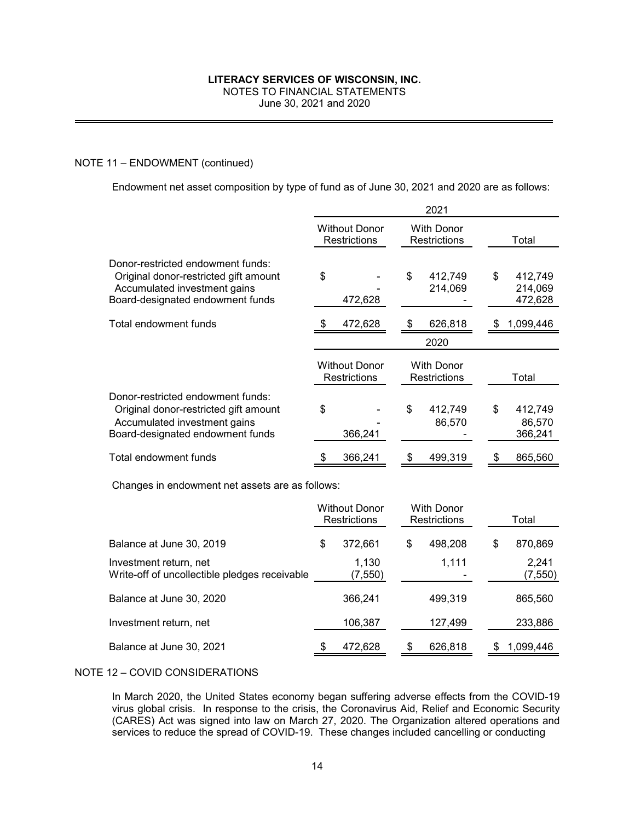## NOTE 11 – ENDOWMENT (continued)

Endowment net asset composition by type of fund as of June 30, 2021 and 2020 are as follows:

|                                                                                                                                                | 2021                                 |                                             |                                   |                                          |    |                               |
|------------------------------------------------------------------------------------------------------------------------------------------------|--------------------------------------|---------------------------------------------|-----------------------------------|------------------------------------------|----|-------------------------------|
|                                                                                                                                                | <b>Without Donor</b><br>Restrictions |                                             | <b>With Donor</b><br>Restrictions |                                          |    | Total                         |
| Donor-restricted endowment funds:<br>Original donor-restricted gift amount<br>Accumulated investment gains<br>Board-designated endowment funds | \$                                   | 472,628                                     | \$                                | 412,749<br>214,069                       | \$ | 412,749<br>214,069<br>472,628 |
| Total endowment funds                                                                                                                          | \$                                   | 472,628                                     | \$                                | 626,818                                  | \$ | 1,099,446                     |
|                                                                                                                                                | 2020                                 |                                             |                                   |                                          |    |                               |
|                                                                                                                                                |                                      | <b>Without Donor</b><br><b>Restrictions</b> |                                   | <b>With Donor</b><br><b>Restrictions</b> |    | Total                         |
| Donor-restricted endowment funds:<br>Original donor-restricted gift amount<br>Accumulated investment gains<br>Board-designated endowment funds | \$                                   | 366,241                                     | \$                                | 412,749<br>86,570                        | \$ | 412,749<br>86,570<br>366,241  |
| Total endowment funds                                                                                                                          | £.                                   | 366,241                                     | \$                                | 499,319                                  | \$ | 865,560                       |
| Changes in endowment net assets are as follows:                                                                                                |                                      |                                             |                                   |                                          |    |                               |
|                                                                                                                                                | <b>Without Donor</b><br>Restrictions |                                             | <b>With Donor</b><br>Restrictions |                                          |    | Total                         |
| Balance at June 30, 2019                                                                                                                       | \$                                   | 372,661                                     | \$                                | 498,208                                  | \$ | 870,869                       |
| Investment return, net<br>Write-off of uncollectible pledges receivable                                                                        |                                      | 1,130<br>(7, 550)                           |                                   | 1,111                                    |    | 2,241<br>(7, 550)             |
| Balance at June 30, 2020                                                                                                                       |                                      | 366,241                                     |                                   | 499,319                                  |    | 865,560                       |
| Investment return, net                                                                                                                         |                                      | 106,387                                     |                                   | 127,499                                  |    | 233,886                       |
| Balance at June 30, 2021                                                                                                                       | \$                                   | 472,628                                     | \$                                | 626,818                                  | \$ | 1,099,446                     |

#### NOTE 12 – COVID CONSIDERATIONS

In March 2020, the United States economy began suffering adverse effects from the COVID-19 virus global crisis. In response to the crisis, the Coronavirus Aid, Relief and Economic Security (CARES) Act was signed into law on March 27, 2020. The Organization altered operations and services to reduce the spread of COVID-19. These changes included cancelling or conducting